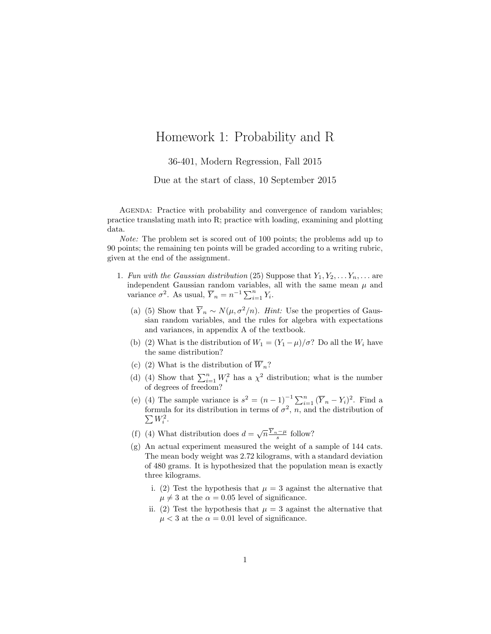## Homework 1: Probability and R

36-401, Modern Regression, Fall 2015

Due at the start of class, 10 September 2015

AGENDA: Practice with probability and convergence of random variables; practice translating math into R; practice with loading, examining and plotting data.

Note: The problem set is scored out of 100 points; the problems add up to 90 points; the remaining ten points will be graded according to a writing rubric, given at the end of the assignment.

- 1. Fun with the Gaussian distribution (25) Suppose that  $Y_1, Y_2, \ldots, Y_n, \ldots$  are independent Gaussian random variables, all with the same mean  $\mu$  and variance  $\sigma^2$ . As usual,  $\overline{Y}_n = n^{-1} \sum_{i=1}^n Y_i$ .
	- (a) (5) Show that  $\overline{Y}_n \sim N(\mu, \sigma^2/n)$ . Hint: Use the properties of Gaussian random variables, and the rules for algebra with expectations and variances, in appendix A of the textbook.
	- (b) (2) What is the distribution of  $W_1 = (Y_1 \mu)/\sigma$ ? Do all the  $W_i$  have the same distribution?
	- (c) (2) What is the distribution of  $\overline{W}_n$ ?
	- (d) (4) Show that  $\sum_{i=1}^{n} W_i^2$  has a  $\chi^2$  distribution; what is the number of degrees of freedom?
	- (e) (4) The sample variance is  $s^2 = (n-1)^{-1} \sum_{i=1}^n (\overline{Y}_n Y_i)^2$ . Find a formula for its distribution in terms of  $\sigma^2$ , *n*, and the distribution of  $\sum W_i^2$ .  $W_i^2$ .
	- (f) (4) What distribution does  $d = \sqrt{n} \frac{\overline{Y}_n \mu}{s}$  follow?
	- (g) An actual experiment measured the weight of a sample of 144 cats. The mean body weight was 2.72 kilograms, with a standard deviation of 480 grams. It is hypothesized that the population mean is exactly three kilograms.
		- i. (2) Test the hypothesis that  $\mu = 3$  against the alternative that  $\mu \neq 3$  at the  $\alpha = 0.05$  level of significance.
		- ii. (2) Test the hypothesis that  $\mu = 3$  against the alternative that  $\mu < 3$  at the  $\alpha = 0.01$  level of significance.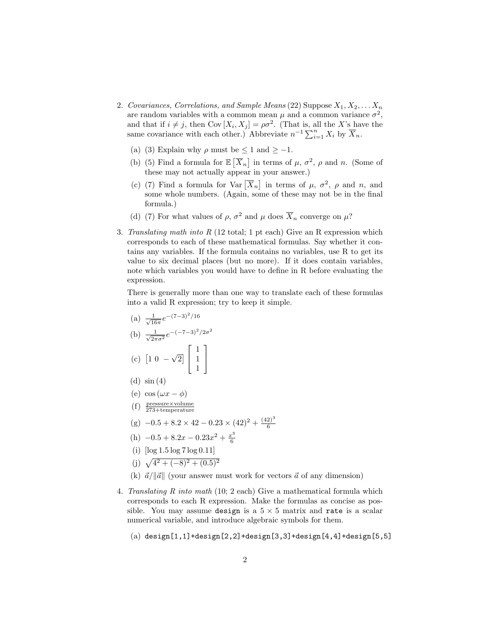- 2. Covariances, Correlations, and Sample Means (22) Suppose  $X_1, X_2, \ldots X_n$ are random variables with a common mean  $\mu$  and a common variance  $\sigma^2$ , and that if  $i \neq j$ , then Cov  $[X_i, X_j] = \rho \sigma^2$ . (That is, all the X's have the same covariance with each other.) Abbreviate  $n^{-1} \sum_{i=1}^{n} X_i$  by  $\overline{X}_n$ .
	- (a) (3) Explain why  $\rho$  must be  $\leq 1$  and  $\geq -1$ .
	- (b) (5) Find a formula for  $\mathbb{E}[\overline{X}_n]$  in terms of  $\mu$ ,  $\sigma^2$ ,  $\rho$  and n. (Some of these may not actually appear in your answer.)
	- (c) (7) Find a formula for Var  $\overline{X}_n$  in terms of  $\mu$ ,  $\sigma^2$ ,  $\rho$  and n, and some whole numbers. (Again, some of these may not be in the final formula.)
	- (d) (7) For what values of  $\rho$ ,  $\sigma^2$  and  $\mu$  does  $\overline{X}_n$  converge on  $\mu$ ?
- 3. Translating math into R (12 total; 1 pt each) Give an R expression which corresponds to each of these mathematical formulas. Say whether it contains any variables. If the formula contains no variables, use R to get its value to six decimal places (but no more). If it does contain variables, note which variables you would have to define in R before evaluating the expression.

There is generally more than one way to translate each of these formulas into a valid R expression; try to keep it simple.

- (a)  $\frac{1}{\sqrt{1}}$  $\frac{1}{16\pi}e^{-(7-3)^2/16}$ (b)  $\frac{1}{\sqrt{2}}$  $\frac{1}{2\pi\sigma^2}e^{-(-7-3)^2/2\sigma^2}$  $(c)$  [1 0 – √  $\overline{2}$  $\lceil$  $\overline{1}$ 1 1 1 1  $\overline{1}$ (d)  $\sin(4)$
- (e)  $\cos(\omega x \phi)$
- (f) pressure×volume 273+temperature
- $(g)$  –0.5 + 8.2 × 42 0.23 × (42)<sup>2</sup> +  $\frac{(42)^3}{6}$ 6
- (h)  $-0.5 + 8.2x 0.23x^2 + \frac{x^3}{6}$ 6
- (i)  $\log 1.5 \log 7 \log 0.11$
- (j)  $\sqrt{4^2 + (-8)^2 + (0.5)^2}$
- (k)  $\vec{a}/\Vert \vec{a} \Vert$  (your answer must work for vectors  $\vec{a}$  of any dimension)
- 4. Translating R into math (10; 2 each) Give a mathematical formula which corresponds to each R expression. Make the formulas as concise as possible. You may assume design is a  $5 \times 5$  matrix and rate is a scalar numerical variable, and introduce algebraic symbols for them.
	- $(a)$  design[1,1]+design[2,2]+design[3,3]+design[4,4]+design[5,5]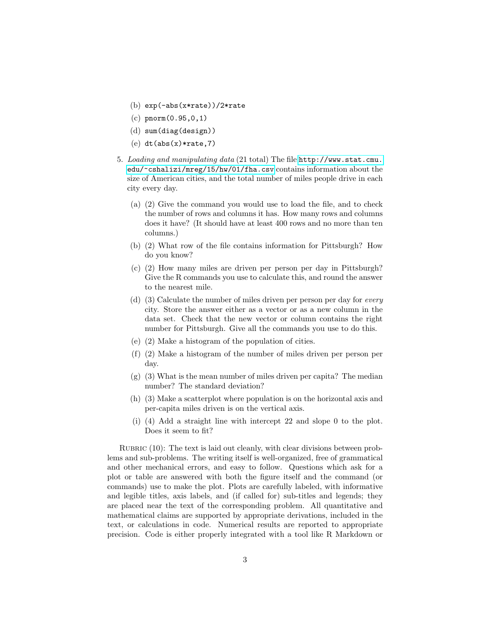- (b) exp(-abs(x\*rate))/2\*rate
- (c) pnorm(0.95,0,1)
- (d) sum(diag(design))
- $(e)$  dt(abs(x)\*rate,7)
- 5. Loading and manipulating data (21 total) The file [http://www.stat.cmu.](http://www.stat.cmu.edu/~cshalizi/mreg/15/hw/01/fha.csv) [edu/~cshalizi/mreg/15/hw/01/fha.csv](http://www.stat.cmu.edu/~cshalizi/mreg/15/hw/01/fha.csv) contains information about the size of American cities, and the total number of miles people drive in each city every day.
	- (a) (2) Give the command you would use to load the file, and to check the number of rows and columns it has. How many rows and columns does it have? (It should have at least 400 rows and no more than ten columns.)
	- (b) (2) What row of the file contains information for Pittsburgh? How do you know?
	- (c) (2) How many miles are driven per person per day in Pittsburgh? Give the R commands you use to calculate this, and round the answer to the nearest mile.
	- (d) (3) Calculate the number of miles driven per person per day for every city. Store the answer either as a vector or as a new column in the data set. Check that the new vector or column contains the right number for Pittsburgh. Give all the commands you use to do this.
	- (e) (2) Make a histogram of the population of cities.
	- (f) (2) Make a histogram of the number of miles driven per person per day.
	- (g) (3) What is the mean number of miles driven per capita? The median number? The standard deviation?
	- (h) (3) Make a scatterplot where population is on the horizontal axis and per-capita miles driven is on the vertical axis.
	- (i) (4) Add a straight line with intercept 22 and slope 0 to the plot. Does it seem to fit?

RUBRIC  $(10)$ : The text is laid out cleanly, with clear divisions between problems and sub-problems. The writing itself is well-organized, free of grammatical and other mechanical errors, and easy to follow. Questions which ask for a plot or table are answered with both the figure itself and the command (or commands) use to make the plot. Plots are carefully labeled, with informative and legible titles, axis labels, and (if called for) sub-titles and legends; they are placed near the text of the corresponding problem. All quantitative and mathematical claims are supported by appropriate derivations, included in the text, or calculations in code. Numerical results are reported to appropriate precision. Code is either properly integrated with a tool like R Markdown or